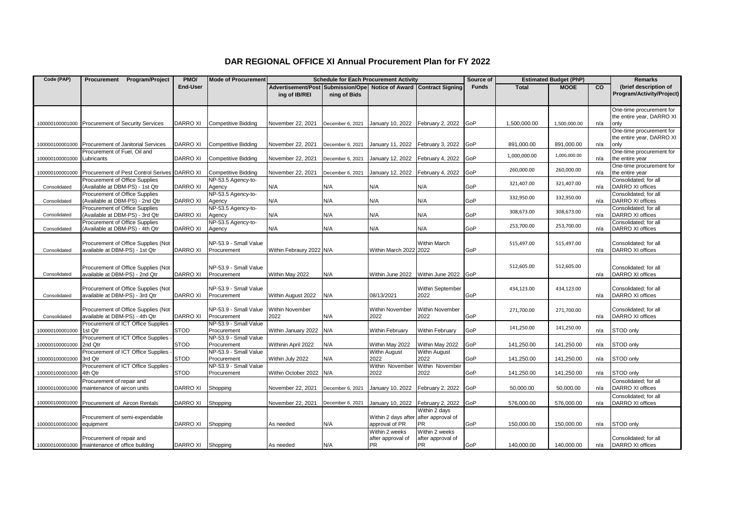## **DAR REGIONAL OFFICE XI Annual Procurement Plan for FY 2022**

| Code (PAP)      | Procurement Program/Project                                       | PMO/            | <b>Mode of Procurement</b>           |                                                                    |                  | <b>Schedule for Each Procurement Activity</b> |                        | Source of    | <b>Estimated Budget (PhP)</b> |              |     | Remarks                                               |
|-----------------|-------------------------------------------------------------------|-----------------|--------------------------------------|--------------------------------------------------------------------|------------------|-----------------------------------------------|------------------------|--------------|-------------------------------|--------------|-----|-------------------------------------------------------|
|                 |                                                                   | <b>End-User</b> |                                      | Advertisement/Post Submission/Ope Notice of Award Contract Signing |                  |                                               |                        | <b>Funds</b> | <b>Total</b>                  | <b>MOOE</b>  | co  | (brief description of                                 |
|                 |                                                                   |                 |                                      | ing of IB/REI                                                      | ning of Bids     |                                               |                        |              |                               |              |     | Program/Activity/Project)                             |
|                 |                                                                   |                 |                                      |                                                                    |                  |                                               |                        |              |                               |              |     |                                                       |
|                 |                                                                   |                 |                                      |                                                                    |                  |                                               |                        |              |                               |              |     | One-time procurement for<br>the entire year, DARRO XI |
|                 | 100000100001000 Procurement of Security Services                  | <b>DARRO XI</b> | Competitive Bidding                  | November 22, 2021                                                  | December 6, 2021 | January 10, 2022                              | February 2, 2022       | GoP          | 1,500,000.00                  | 1,500,000.00 | n/a | only                                                  |
|                 |                                                                   |                 |                                      |                                                                    |                  |                                               |                        |              |                               |              |     | One-time procurement for                              |
|                 |                                                                   |                 |                                      |                                                                    |                  |                                               |                        |              |                               |              |     | the entire year, DARRO XI                             |
| 100000100001000 | Procurement of Janitorial Services                                | <b>DARRO XI</b> | Competitive Bidding                  | November 22, 2021                                                  | December 6, 2021 | January 11, 2022                              | February 3, 2022       | GoP          | 891.000.00                    | 891.000.00   | n/a | only                                                  |
|                 | Procurement of Fuel, Oil and                                      | <b>DARRO XI</b> |                                      |                                                                    |                  |                                               |                        | GoP          | 1,000,000.00                  | 1,000,000.00 |     | One-time procurement for                              |
| 100000100001000 | Lubricants                                                        |                 | Competitive Bidding                  | November 22, 2021                                                  | December 6, 2021 | January 12, 2022                              | February 4, 2022       |              |                               |              | n/a | the entire year<br>One-time procurement for           |
| 100000100001000 | Procurement of Pest Control Serives DARRO XI                      |                 | <b>Competitive Bidding</b>           | November 22, 2021                                                  | December 6, 2021 | January 12, 2022                              | February 4, 2022       | GoP          | 260,000.00                    | 260,000.00   | n/a | the entire year                                       |
|                 | Procurement of Office Supplies                                    |                 | NP-53.5 Agency-to-                   |                                                                    |                  |                                               |                        |              |                               |              |     | Consolidated; for all                                 |
| Consolidated    | (Available at DBM-PS) - 1st Qtr                                   | <b>DARRO XI</b> | Agency                               | N/A                                                                | N/A              | N/A                                           | N/A                    | GoP          | 321,407.00                    | 321,407.00   | n/a | DARRO XI offices                                      |
|                 | Procurement of Office Supplies                                    |                 | NP-53.5 Agency-to-                   |                                                                    |                  |                                               |                        |              | 332,950.00                    | 332,950.00   |     | Consolidated; for all                                 |
| Consolidated    | (Available at DBM-PS) - 2nd Qtr                                   | <b>DARRO XI</b> | Agency                               | N/A                                                                | N/A              | N/A                                           | N/A                    | GoP          |                               |              | n/a | DARRO XI offices                                      |
| Consolidated    | Procurement of Office Supplies<br>(Available at DBM-PS) - 3rd Qtr | <b>DARRO XI</b> | VP-53.5 Agency-to-<br>Agency         | N/A                                                                | N/A              | N/A                                           | N/A                    | GoP          | 308,673.00                    | 308,673.00   | n/a | Consolidated; for all<br>DARRO XI offices             |
|                 | Procurement of Office Supplies                                    |                 | NP-53.5 Agency-to-                   |                                                                    |                  |                                               |                        |              |                               |              |     | Consolidated; for all                                 |
| Consolidated    | (Available at DBM-PS) - 4th Qtr                                   | <b>DARRO XI</b> | Agency                               | N/A                                                                | N/A              | N/A                                           | N/A                    | GoP          | 253,700.00                    | 253,700.00   | n/a | DARRO XI offices                                      |
|                 |                                                                   |                 |                                      |                                                                    |                  |                                               |                        |              |                               |              |     |                                                       |
|                 | Procurement of Office Supplies (Not                               |                 | NP-53.9 - Small Value                |                                                                    |                  |                                               | <b>Within March</b>    |              | 515,497.00                    | 515,497.00   |     | Consolidated; for all                                 |
| Consolidated    | available at DBM-PS) - 1st Qtr                                    | <b>DARRO XI</b> | Procurement                          | Within Febraury 2022 N/A                                           |                  | <b>Within March 2022 2022</b>                 |                        | GoP          |                               |              | n/a | DARRO XI offices                                      |
|                 |                                                                   |                 |                                      |                                                                    |                  |                                               |                        |              |                               |              |     |                                                       |
|                 | Procurement of Office Supplies (Not                               |                 | NP-53.9 - Small Value                |                                                                    |                  |                                               |                        |              | 512,605.00                    | 512,605.00   |     | Consolidated; for all                                 |
| Consolidated    | available at DBM-PS) - 2nd Qtr                                    | <b>DARRO XI</b> | Procurement                          | Within May 2022                                                    | N/A              | Within June 2022                              | Within June 2022       | <b>GoP</b>   |                               |              | n/a | DARRO XI offices                                      |
|                 | Procurement of Office Supplies (Not                               |                 | NP-53.9 - Small Value                |                                                                    |                  |                                               | Within September       |              | 434,123.00                    | 434,123.00   |     | Consolidated; for all                                 |
| Consolidated    | available at DBM-PS) - 3rd Qtr                                    | <b>DARRO XI</b> | Procurement                          | Within August 2022                                                 | N/A              | 08/13/2021                                    | 2022                   | GoP          |                               |              | n/a | DARRO XI offices                                      |
|                 |                                                                   |                 |                                      |                                                                    |                  |                                               |                        |              |                               |              |     |                                                       |
|                 | Procurement of Office Supplies (Not                               |                 | NP-53.9 - Small Value                | Within November                                                    |                  | <b>Within November</b>                        | <b>Within November</b> |              | 271,700.00                    | 271.700.00   |     | Consolidated: for all                                 |
| Consolidated    | available at DBM-PS) - 4th Qtr                                    | <b>DARRO XI</b> | Procurement                          | 2022                                                               | N/A              | 2022                                          | 2022                   | GoP          |                               |              | n/a | DARRO XI offices                                      |
|                 | Procurement of ICT Office Supplies                                |                 | NP-53.9 - Small Value                |                                                                    |                  |                                               |                        |              | 141,250.00                    | 141,250.00   |     |                                                       |
| 100000100001000 | 1st Qtr<br>Procurement of ICT Office Supplies                     | STOD            | Procurement<br>NP-53.9 - Small Value | Within January 2022 N/A                                            |                  | Within February                               | Within February        | GoP          |                               |              | n/a | STOD only                                             |
| 100000100001000 | 2nd Qtr                                                           | <b>STOD</b>     | Procurement                          | Withinin April 2022                                                | N/A              | Within May 2022                               | Within May 2022        | GoP          | 141,250.00                    | 141,250.00   | n/a | STOD only                                             |
|                 | Procurement of ICT Office Supplies                                |                 | NP-53.9 - Small Value                |                                                                    |                  | Withn August                                  | <b>Withn August</b>    |              |                               |              |     |                                                       |
| 100000100001000 | 3rd Qtr                                                           | <b>STOD</b>     | Procurement                          | Within July 2022                                                   | N/A              | 2022                                          | 2022                   | GoP          | 141,250.00                    | 141,250.00   | n/a | STOD only                                             |
|                 | Procurement of ICT Office Supplies                                |                 | <b>NP-53.9 - Small Value</b>         |                                                                    |                  | Within November                               | Within November        |              |                               |              |     |                                                       |
| 100000100001000 | 4th Qtr                                                           | <b>STOD</b>     | Procurement                          | Within October 2022 N/A                                            |                  | 2022                                          | 2022                   | GoP          | 141,250.00                    | 141,250.00   | n/a | STOD only                                             |
|                 | Procurement of repair and                                         |                 |                                      |                                                                    |                  |                                               |                        |              |                               |              |     | Consolidated; for all                                 |
| 100000100001000 | maintenance of aircon units                                       | <b>DARRO XI</b> | Shopping                             | November 22, 2021                                                  | December 6, 2021 | January 10, 2022                              | February 2, 2022       | GoP          | 50.000.00                     | 50,000.00    | n/a | DARRO XI offices                                      |
| 100000100001000 | Procurement of Aircon Rentals                                     | <b>DARRO XI</b> | Shopping                             | November 22, 2021                                                  | December 6, 2021 | January 10, 2022                              | February 2, 2022       | GoP          | 576,000.00                    | 576,000.00   | n/a | Consolidated; for all<br>DARRO XI offices             |
|                 |                                                                   |                 |                                      |                                                                    |                  |                                               | Within 2 days          |              |                               |              |     |                                                       |
|                 | Procurement of semi-expendable                                    |                 |                                      |                                                                    |                  | Within 2 days after                           | after approval of      |              |                               |              |     |                                                       |
| 100000100001000 | equipment                                                         | <b>DARRO XI</b> | Shopping                             | As needed                                                          | N/A              | approval of PR                                | <b>PR</b>              | GoP          | 150,000.00                    | 150,000.00   | n/a | STOD only                                             |
|                 |                                                                   |                 |                                      |                                                                    |                  | Within 2 weeks                                | Within 2 weeks         |              |                               |              |     |                                                       |
|                 | Procurement of repair and                                         |                 |                                      |                                                                    |                  | after approval of                             | after approval of      |              |                               |              |     | Consolidated; for all                                 |
|                 | 100000100001000 maintenance of office building                    | DARRO XI        | Shopping                             | As needed                                                          | N/A              | PR                                            | <b>PR</b>              | GoP          | 140,000.00                    | 140,000.00   | n/a | DARRO XI offices                                      |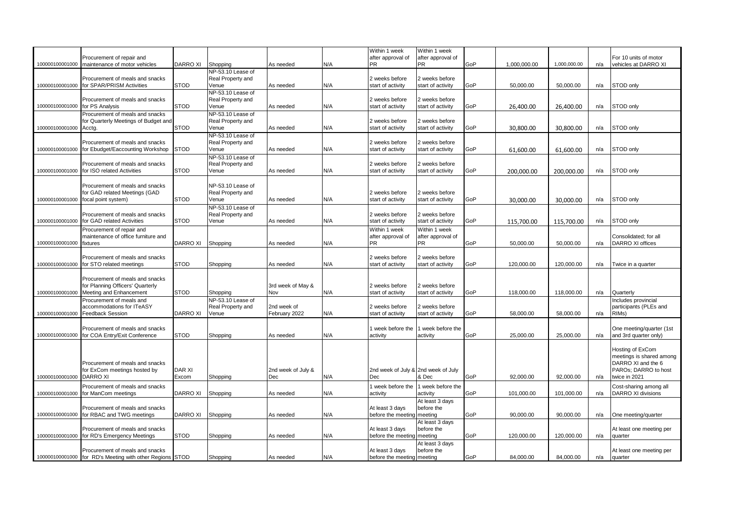| 100000100001000 | Procurement of repair and<br>maintenance of motor vehicles                                     | DARRO XI               | Shopping                                        | As needed                    | N/A | Within 1 week<br>after approval of<br>PR      | Within 1 week<br>after approval of<br>PR        | GoP | 1,000,000.00 | 1,000,000.00 | n/a | For 10 units of motor<br>vehicles at DARRO XI                                                               |
|-----------------|------------------------------------------------------------------------------------------------|------------------------|-------------------------------------------------|------------------------------|-----|-----------------------------------------------|-------------------------------------------------|-----|--------------|--------------|-----|-------------------------------------------------------------------------------------------------------------|
|                 | Procurement of meals and snacks                                                                |                        | NP-53.10 Lease of<br>Real Property and          |                              |     | 2 weeks before                                | 2 weeks before                                  |     |              |              |     |                                                                                                             |
| 100000100001000 | for SPAR/PRISM Activities                                                                      | <b>STOD</b>            | Venue                                           | As needed                    | N/A | start of activity                             | start of activity                               | GoP | 50,000.00    | 50,000.00    | n/a | STOD only                                                                                                   |
| 100000100001000 | Procurement of meals and snacks<br>for PS Analysis                                             | <b>STOD</b>            | NP-53.10 Lease of<br>Real Property and<br>Venue | As needed                    | N/A | 2 weeks before<br>start of activity           | 2 weeks before<br>start of activity             | GoP | 26,400.00    | 26,400.00    | n/a | STOD only                                                                                                   |
|                 | Procurement of meals and snacks<br>for Quarterly Meetings of Budget and                        |                        | NP-53.10 Lease of<br>Real Property and          |                              |     | 2 weeks before                                | 2 weeks before                                  |     |              |              |     |                                                                                                             |
| 100000100001000 | Acctg.                                                                                         | <b>STOD</b>            | Venue                                           | As needed                    | N/A | start of activity                             | start of activity                               | GoP | 30,800.00    | 30,800.00    | n/a | STOD only                                                                                                   |
| 100000100001000 | Procurement of meals and snacks<br>for Ebudget/Eaccounting Workshop                            | <b>STOD</b>            | NP-53.10 Lease of<br>Real Property and<br>Venue | As needed                    | N/A | 2 weeks before<br>start of activity           | 2 weeks before<br>start of activity             | GoP | 61,600.00    | 61,600.00    | n/a | STOD only                                                                                                   |
| 100000100001000 | Procurement of meals and snacks<br>for ISO related Activities                                  | <b>STOD</b>            | NP-53.10 Lease of<br>Real Property and<br>Venue | As needed                    | N/A | 2 weeks before<br>start of activity           | 2 weeks before<br>start of activity             | GoP | 200,000.00   | 200,000.00   | n/a | STOD only                                                                                                   |
| 100000100001000 | Procurement of meals and snacks<br>for GAD related Meetings (GAD<br>focal point system)        | <b>STOD</b>            | NP-53.10 Lease of<br>Real Property and<br>Venue | As needed                    | N/A | 2 weeks before<br>start of activity           | 2 weeks before<br>start of activity             | GoP | 30,000.00    | 30,000.00    | n/a | STOD only                                                                                                   |
| 100000100001000 | Procurement of meals and snacks<br>for GAD related Activities                                  | <b>STOD</b>            | NP-53.10 Lease of<br>Real Property and<br>Venue | As needed                    | N/A | 2 weeks before<br>start of activity           | 2 weeks before<br>start of activity             | GoP | 115,700.00   | 115,700.00   | n/a | STOD only                                                                                                   |
|                 | Procurement of repair and<br>maintenance of office furniture and                               |                        |                                                 |                              |     | Within 1 week<br>after approval of<br>PR.     | Within 1 week<br>after approval of<br><b>PR</b> |     |              |              |     | Consolidated; for all                                                                                       |
| 100000100001000 | fixtures                                                                                       | <b>DARRO XI</b>        | Shopping                                        | As needed                    | N/A |                                               |                                                 | GoP | 50,000.00    | 50,000.00    | n/a | DARRO XI offices                                                                                            |
| 100000100001000 | Procurement of meals and snacks<br>for STO related meetings                                    | <b>STOD</b>            | Shopping                                        | As needed                    | N/A | 2 weeks before<br>start of activity           | weeks before<br>start of activity               | GoP | 120,000.00   | 120,000.00   | n/a | Twice in a quarter                                                                                          |
|                 | Procurement of meals and snacks<br>for Planning Officers' Quarterly<br>Meeting and Enhancement | <b>STOD</b>            | Shopping                                        | 3rd week of May &<br>Nov     | N/A | 2 weeks before<br>start of activity           | 2 weeks before<br>start of activity             | GoP | 118,000.00   | 118,000.00   |     | Quarterly                                                                                                   |
| 100000100001000 | Procurement of meals and                                                                       |                        | NP-53.10 Lease of                               |                              |     |                                               |                                                 |     |              |              | n/a | Includes provincial                                                                                         |
| 100000100001000 | accommodations for ITeASY<br><b>Feedback Session</b>                                           | <b>DARRO XI</b>        | Real Property and<br>√enue                      | 2nd week of<br>February 2022 | N/A | 2 weeks before<br>start of activity           | 2 weeks before<br>start of activity             | GoP | 58,000.00    | 58,000.00    | n/a | participants (PLEs and<br>RIM <sub>s</sub> )                                                                |
| 100000100001000 | Procurement of meals and snacks<br>for COA Entry/Exit Conference                               | <b>STOD</b>            | Shopping                                        | As needed                    | N/A | 1 week before the<br>activity                 | week before the<br>activity                     | GoP | 25,000.00    | 25,000.00    | n/a | One meeting/quarter (1st<br>and 3rd quarter only)                                                           |
| 100000100001000 | Procurement of meals and snacks<br>for ExCom meetings hosted by<br><b>DARRO XI</b>             | <b>DAR XI</b><br>Excom | Shopping                                        | 2nd week of July &<br>Dec    | N/A | 2nd week of July & 2nd week of July<br>Dec    | & Dec                                           | GoP | 92,000.00    | 92,000.00    | n/a | Hosting of ExCom<br>meetings is shared among<br>DARRO XI and the 6<br>PAROs; DARRO to host<br>twice in 2021 |
| 100000100001000 | Procurement of meals and snacks<br>for ManCom meetings                                         | <b>DARRO XI</b>        | Shopping                                        | As needed                    | N/A | 1 week before the<br>activity                 | 1 week before the<br>activity                   | GoP | 101,000.00   | 101,000.00   | n/a | Cost-sharing among all<br>DARRO XI divisions                                                                |
| 100000100001000 | Procurement of meals and snacks<br>for RBAC and TWG meetings                                   | <b>DARRO XI</b>        | Shopping                                        | As needed                    | N/A | At least 3 days<br>before the meeting         | At least 3 days<br>before the<br>meeting        | GoP | 90,000.00    | 90,000.00    | n/a | One meeting/quarter                                                                                         |
| 100000100001000 | Procurement of meals and snacks<br>for RD's Emergency Meetings                                 | <b>STOD</b>            | Shopping                                        | As needed                    | N/A | At least 3 days<br>before the meeting         | At least 3 days<br>before the<br>meeting        | GoP | 120,000.00   | 120,000.00   | n/a | At least one meeting per<br>quarter                                                                         |
|                 | Procurement of meals and snacks<br>100000100001000 for RD's Meeting with other Regions STOD    |                        | Shopping                                        | As needed                    | N/A | At least 3 days<br>before the meeting meeting | At least 3 days<br>before the                   | GoP | 84,000.00    | 84,000.00    | n/a | At least one meeting per<br>quarter                                                                         |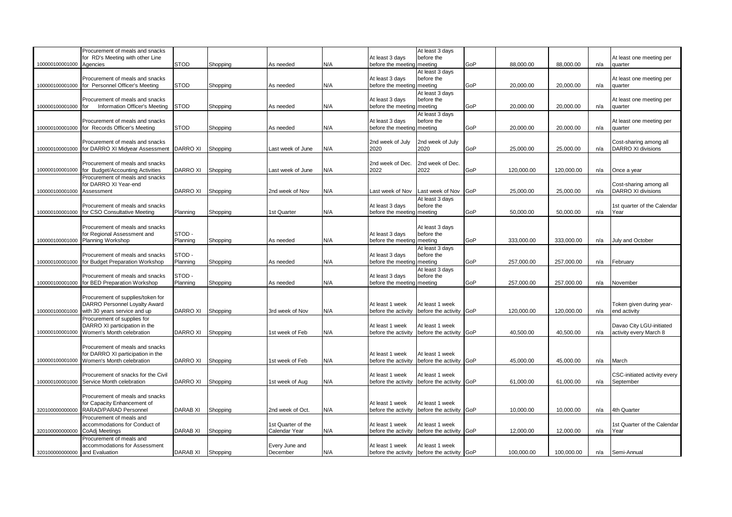|                 | Procurement of meals and snacks<br>for RD's Meeting with other Line  |                 |          |                    |     | At least 3 days          | At least 3 days<br>before the       |     |            |            |     | At least one meeting per                            |
|-----------------|----------------------------------------------------------------------|-----------------|----------|--------------------|-----|--------------------------|-------------------------------------|-----|------------|------------|-----|-----------------------------------------------------|
| 100000100001000 | Agencies                                                             | STOD            | Shopping | As needed          | N/A | before the meeting       | meeting                             | GoP | 88,000.00  | 88,000.00  | n/a | quarter                                             |
|                 |                                                                      |                 |          |                    |     |                          | At least 3 days                     |     |            |            |     |                                                     |
|                 | Procurement of meals and snacks                                      |                 |          |                    |     | At least 3 days          | before the                          |     |            |            |     | At least one meeting per                            |
| 100000100001000 | for Personnel Officer's Meeting                                      | STOD            | Shopping | As needed          | N/A | before the meeting       | meeting                             | GoP | 20,000.00  | 20,000.00  | n/a | quarter                                             |
|                 | Procurement of meals and snacks                                      |                 |          |                    |     | At least 3 days          | At least 3 days<br>before the       |     |            |            |     | At least one meeting per                            |
| 100000100001000 | Information Officer's Meeting<br>for                                 | <b>STOD</b>     | Shopping | As needed          | N/A | before the meeting       | meeting                             | GoP | 20.000.00  | 20,000.00  | n/a | quarter                                             |
|                 |                                                                      |                 |          |                    |     |                          | At least 3 days                     |     |            |            |     |                                                     |
|                 | Procurement of meals and snacks                                      |                 |          |                    |     | At least 3 days          | before the                          |     |            |            |     | At least one meeting per                            |
| 100000100001000 | for Records Officer's Meeting                                        | <b>STOD</b>     | Shopping | As needed          | N/A | before the meeting       | meeting                             | GoP | 20,000.00  | 20,000.00  | n/a | quarter                                             |
|                 |                                                                      |                 |          |                    |     |                          |                                     |     |            |            |     |                                                     |
| 100000100001000 | Procurement of meals and snacks<br>for DARRO XI Midyear Assessment   | DARRO XI        | Shopping | Last week of June  | N/A | 2nd week of July<br>2020 | 2nd week of July<br>2020            | GoP | 25,000.00  | 25,000.00  | n/a | Cost-sharing among all<br><b>DARRO XI divisions</b> |
|                 |                                                                      |                 |          |                    |     |                          |                                     |     |            |            |     |                                                     |
|                 | Procurement of meals and snacks                                      |                 |          |                    |     | 2nd week of Dec.         | 2nd week of Dec.                    |     |            |            |     |                                                     |
| 100000100001000 | for Budget/Accounting Activities                                     | DARRO XI        | Shopping | Last week of June  | N/A | 2022                     | 2022                                | GoP | 120,000.00 | 120,000.00 | n/a | Once a year                                         |
|                 | Procurement of meals and snacks                                      |                 |          |                    |     |                          |                                     |     |            |            |     |                                                     |
|                 | for DARRO XI Year-end                                                |                 |          |                    |     |                          |                                     |     |            |            |     | Cost-sharing among all                              |
| 100000100001000 | Assessment                                                           | DARRO XI        | Shopping | 2nd week of Nov    | N/A | Last week of Nov         | Last week of Nov<br>At least 3 days | GoP | 25,000.00  | 25,000.00  | n/a | <b>DARRO XI divisions</b>                           |
|                 | Procurement of meals and snacks                                      |                 |          |                    |     | At least 3 days          | before the                          |     |            |            |     | 1st quarter of the Calendar                         |
| 100000100001000 | for CSO Consultative Meeting                                         | Planning        | Shopping | 1st Quarter        | N/A | before the meeting       | meeting                             | GoP | 50,000.00  | 50,000.00  | n/a | Year                                                |
|                 |                                                                      |                 |          |                    |     |                          |                                     |     |            |            |     |                                                     |
|                 | Procurement of meals and snacks                                      |                 |          |                    |     |                          | At least 3 days                     |     |            |            |     |                                                     |
|                 | for Regional Assessment and                                          | STOD -          |          |                    |     | At least 3 days          | before the                          |     |            |            |     |                                                     |
| 100000100001000 | Planning Workshop                                                    | Planning        | Shopping | As needed          | N/A | before the meeting       | meeting                             | GoP | 333,000.00 | 333,000.00 | n/a | July and October                                    |
|                 | Procurement of meals and snacks                                      | STOD-           |          |                    |     | At least 3 days          | At least 3 days<br>before the       |     |            |            |     |                                                     |
| 100000100001000 | for Budget Preparation Workshop                                      | Planning        | Shopping | As needed          | N/A | before the meeting       | meeting                             | GoP | 257,000.00 | 257,000.00 | n/a | February                                            |
|                 |                                                                      |                 |          |                    |     |                          | At least 3 days                     |     |            |            |     |                                                     |
|                 | Procurement of meals and snacks                                      | STOD-           |          |                    |     | At least 3 days          | before the                          |     |            |            |     |                                                     |
| 100000100001000 | for BED Preparation Workshop                                         | Planning        | Shopping | As needed          | N/A | before the meeting       | meeting                             | GoP | 257,000.00 | 257,000.00 | n/a | November                                            |
|                 |                                                                      |                 |          |                    |     |                          |                                     |     |            |            |     |                                                     |
|                 | Procurement of supplies/token for<br>DARRO Personnel Loyalty Award   |                 |          |                    |     | At least 1 week          | At least 1 week                     |     |            |            |     | Token given during year-                            |
| 100000100001000 | with 30 years service and up                                         | DARRO XI        | Shopping | 3rd week of Nov    | N/A | before the activity      | before the activity                 | GoP | 120,000.00 | 120,000.00 | n/a | end activity                                        |
|                 | Procurement of supplies for                                          |                 |          |                    |     |                          |                                     |     |            |            |     |                                                     |
|                 | DARRO XI participation in the                                        |                 |          |                    |     | At least 1 week          | At least 1 week                     |     |            |            |     | Davao City LGU-initiated                            |
| 100000100001000 | Women's Month celebration                                            | DARRO XI        | Shopping | 1st week of Feb    | N/A | before the activity      | before the activity                 | GoP | 40,500.00  | 40,500.00  | n/a | activity every March 8                              |
|                 |                                                                      |                 |          |                    |     |                          |                                     |     |            |            |     |                                                     |
|                 | Procurement of meals and snacks<br>for DARRO XI participation in the |                 |          |                    |     | At least 1 week          | At least 1 week                     |     |            |            |     |                                                     |
| 100000100001000 | Women's Month celebration                                            | DARRO XI        | Shopping | 1st week of Feb    | N/A | before the activity      | before the activity                 | GoP | 45,000.00  | 45,000.00  | n/a | March                                               |
|                 |                                                                      |                 |          |                    |     |                          |                                     |     |            |            |     |                                                     |
|                 | Procurement of snacks for the Civil                                  |                 |          |                    |     | At least 1 week          | At least 1 week                     |     |            |            |     | CSC-initiated activity every                        |
| 100000100001000 | Service Month celebration                                            | DARRO XI        | Shopping | 1st week of Aug    | N/A | before the activity      | before the activity                 | GoP | 61,000.00  | 61,000.00  | n/a | September                                           |
|                 |                                                                      |                 |          |                    |     |                          |                                     |     |            |            |     |                                                     |
|                 | Procurement of meals and snacks                                      |                 |          |                    |     | At least 1 week          | At least 1 week                     |     |            |            |     |                                                     |
| 320100000000000 | for Capacity Enhancement of<br>RARAD/PARAD Personnel                 | <b>DARAB XI</b> | Shopping | 2nd week of Oct.   | N/A | before the activity      | before the activity                 | GoP | 10,000.00  | 10,000.00  | n/a | 4th Quarter                                         |
|                 | Procurement of meals and                                             |                 |          |                    |     |                          |                                     |     |            |            |     |                                                     |
|                 | accommodations for Conduct of                                        |                 |          | 1st Quarter of the |     | At least 1 week          | At least 1 week                     |     |            |            |     | 1st Quarter of the Calendar                         |
| 320100000000000 | CoAdj Meetings                                                       | DARAB XI        | Shopping | Calendar Year      | N/A | before the activity      | before the activity                 | GoP | 12,000.00  | 12,000.00  | n/a | Year                                                |
|                 | Procurement of meals and                                             |                 |          |                    |     |                          |                                     |     |            |            |     |                                                     |
|                 | accommodations for Assessment                                        |                 |          | Every June and     |     | At least 1 week          | At least 1 week                     |     |            |            |     |                                                     |
| 320100000000000 | and Evaluation                                                       | DARAB XI        | Shopping | December           | N/A | before the activity      | before the activity GoP             |     | 100,000.00 | 100,000.00 | n/a | Semi-Annual                                         |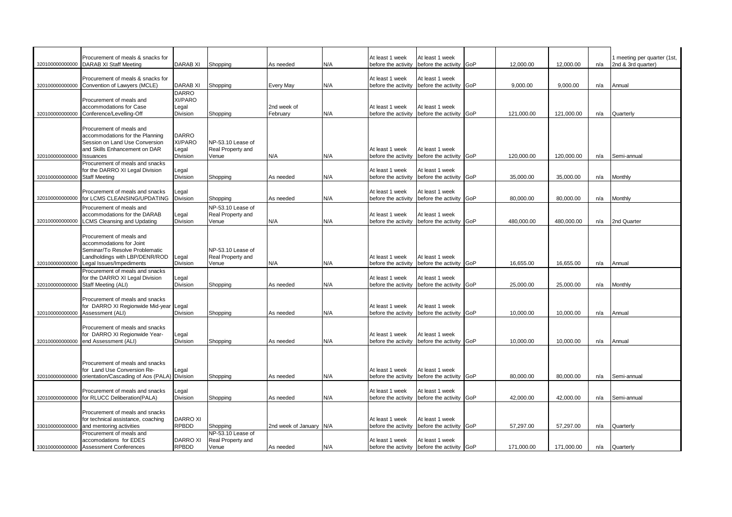| 320100000000000 | Procurement of meals & snacks for<br><b>DARAB XI Staff Meeting</b>                                                                                   | <b>DARAB XI</b>                                     | Shopping                                        | As needed               | N/A | At least 1 week<br>before the activity | At least 1 week<br>before the activity GoP                     | 12,000.00  | 12,000.00  | n/a | 1 meeting per quarter (1st,<br>2nd & 3rd quarter) |
|-----------------|------------------------------------------------------------------------------------------------------------------------------------------------------|-----------------------------------------------------|-------------------------------------------------|-------------------------|-----|----------------------------------------|----------------------------------------------------------------|------------|------------|-----|---------------------------------------------------|
|                 | Procurement of meals & snacks for                                                                                                                    |                                                     |                                                 |                         |     | At least 1 week                        | At least 1 week                                                |            |            |     |                                                   |
| 320100000000000 | Convention of Lawyers (MCLE)                                                                                                                         | <b>DARAB XI</b>                                     | Shopping                                        | Every May               | N/A | before the activity                    | before the activity GoP                                        | 9,000.00   | 9,000.00   | n/a | Annual                                            |
| 320100000000000 | Procurement of meals and<br>accommodations for Case<br>Conference/Levelling-Off                                                                      | <b>DARRO</b><br>XI/PARO<br>Legal<br><b>Division</b> | Shopping                                        | 2nd week of<br>February | N/A | At least 1 week<br>before the activity | At least 1 week<br>before the activity GoP                     | 121,000.00 | 121,000.00 | n/a | Quarterly                                         |
| 320100000000000 | Procurement of meals and<br>accommodations for the Planning<br>Session on Land Use Conversion<br>and Skills Enhancement on DAR<br>Issuances          | <b>DARRO</b><br>XI/PARO<br>Legal<br><b>Division</b> | NP-53.10 Lease of<br>Real Property and<br>Venue | N/A                     | N/A | At least 1 week<br>before the activity | At least 1 week<br>before the activity GoP                     | 120.000.00 | 120.000.00 | n/a | Semi-annual                                       |
| 320100000000000 | Procurement of meals and snacks<br>for the DARRO XI Legal Division<br><b>Staff Meeting</b>                                                           | Legal<br>Division                                   | Shopping                                        | As needed               | N/A | At least 1 week<br>before the activity | At least 1 week<br>before the activity GoP                     | 35,000.00  | 35,000.00  | n/a | Monthly                                           |
|                 |                                                                                                                                                      |                                                     |                                                 |                         |     |                                        |                                                                |            |            |     |                                                   |
| 320100000000000 | Procurement of meals and snacks<br>for LCMS CLEANSING/UPDATING                                                                                       | Legal<br><b>Division</b>                            | Shopping                                        | As needed               | N/A | At least 1 week<br>before the activity | At least 1 week<br>before the activity GoP                     | 80,000.00  | 80,000.00  | n/a | Monthly                                           |
| 320100000000000 | Procurement of meals and<br>accommodations for the DARAB<br><b>LCMS Cleansing and Updating</b>                                                       | Legal<br><b>Division</b>                            | NP-53.10 Lease of<br>Real Property and<br>Venue | N/A                     | N/A | At least 1 week<br>before the activity | At least 1 week<br>before the activity GoP                     | 480,000.00 | 480,000.00 | n/a | 2nd Quarter                                       |
| 320100000000000 | Procurement of meals and<br>accommodations for Joint<br>Seminar/To Resolve Problematic<br>Landholdings with LBP/DENR/ROD<br>Legal Issues/Impediments | Legal<br>Division                                   | NP-53.10 Lease of<br>Real Property and<br>Venue | N/A                     | N/A | At least 1 week<br>before the activity | At least 1 week<br>before the activity GoP                     | 16,655.00  | 16,655.00  | n/a | Annual                                            |
| 320100000000000 | Procurement of meals and snacks<br>for the DARRO XI Legal Division<br>Staff Meeting (ALI)                                                            | Legal<br><b>Division</b>                            | Shopping                                        | As needed               | N/A | At least 1 week<br>before the activity | At least 1 week<br>before the activity GoP                     | 25,000.00  | 25,000.00  | n/a | Monthly                                           |
|                 | Procurement of meals and snacks<br>for DARRO XI Regionwide Mid-year                                                                                  | Legal                                               |                                                 |                         |     | At least 1 week                        | At least 1 week                                                |            |            |     |                                                   |
| 320100000000000 | Assessment (ALI)                                                                                                                                     | <b>Division</b>                                     | Shopping                                        | As needed               | N/A | before the activity                    | before the activity GoP                                        | 10,000.00  | 10,000.00  | n/a | Annual                                            |
| 320100000000000 | Procurement of meals and snacks<br>for DARRO XI Regionwide Year-<br>end Assessment (ALI)                                                             | Legal<br>Division                                   | Shopping                                        | As needed               | N/A | At least 1 week<br>before the activity | At least 1 week<br>before the activity GoP                     | 10,000.00  | 10,000.00  | n/a | Annual                                            |
| 320100000000000 | Procurement of meals and snacks<br>for Land Use Conversion Re-<br>orientation/Cascading of Aos (PALA) Division                                       | Legal                                               | Shopping                                        | As needed               | N/A | At least 1 week<br>before the activity | At least 1 week<br>before the activity GoP                     | 80,000.00  | 80,000.00  | n/a | Semi-annual                                       |
|                 | Procurement of meals and snacks                                                                                                                      | Legal                                               |                                                 |                         |     | At least 1 week                        | At least 1 week                                                |            |            |     |                                                   |
| 320100000000000 | for RLUCC Deliberation(PALA)                                                                                                                         | <b>Division</b>                                     | Shopping                                        | As needed               | N/A | before the activity                    | before the activity GoP                                        | 42,000.00  | 42,000.00  | n/a | Semi-annual                                       |
| 330100000000000 | Procurement of meals and snacks<br>for technical assistance, coaching<br>and mentoring activities                                                    | <b>DARRO XI</b><br><b>RPBDD</b>                     | Shopping                                        | 2nd week of January N/A |     | At least 1 week<br>before the activity | At least 1 week<br>before the activity GoP                     | 57,297.00  | 57,297.00  | n/a | Quarterly                                         |
|                 | Procurement of meals and<br>accomodations for EDES<br>330100000000000 Assessment Conferences                                                         | <b>DARRO XI</b><br><b>RPBDD</b>                     | NP-53.10 Lease of<br>Real Property and<br>Venue | As needed               | N/A | At least 1 week                        | At least 1 week<br>before the activity before the activity GoP | 171.000.00 | 171,000.00 | n/a | Quarterly                                         |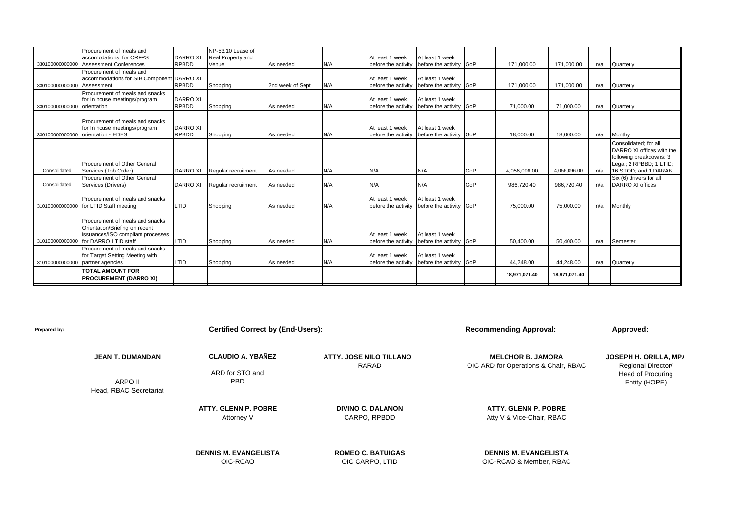|                 | Procurement of meals and                  |                 | NP-53.10 Lease of   |                  |     |                     |                         |     |               |               |     |                           |
|-----------------|-------------------------------------------|-----------------|---------------------|------------------|-----|---------------------|-------------------------|-----|---------------|---------------|-----|---------------------------|
|                 | accomodations for CRFPS                   | <b>DARRO XI</b> | Real Property and   |                  |     | At least 1 week     | At least 1 week         |     |               |               |     |                           |
| 330100000000000 | <b>Assessment Conferences</b>             | <b>RPBDD</b>    | Venue               | As needed        | N/A | before the activity | before the activity GoP |     | 171.000.00    | 171.000.00    | n/a | Quarterly                 |
|                 | Procurement of meals and                  |                 |                     |                  |     |                     |                         |     |               |               |     |                           |
|                 | accommodations for SIB Component DARRO XI |                 |                     |                  |     | At least 1 week     | At least 1 week         |     |               |               |     |                           |
| 330100000000000 | Assessment                                | <b>RPBDD</b>    | Shopping            | 2nd week of Sept | N/A | before the activity | before the activity GoP |     | 171.000.00    | 171.000.00    | n/a | Quarterly                 |
|                 | Procurement of meals and snacks           |                 |                     |                  |     |                     |                         |     |               |               |     |                           |
|                 | for In house meetings/program             | <b>DARRO XI</b> |                     |                  |     | At least 1 week     | At least 1 week         |     |               |               |     |                           |
| 330100000000000 | orientation                               | <b>RPBDD</b>    | Shopping            | As needed        | N/A | before the activity | before the activity GoP |     | 71.000.00     | 71.000.00     | n/a | Quarterly                 |
|                 |                                           |                 |                     |                  |     |                     |                         |     |               |               |     |                           |
|                 | Procurement of meals and snacks           |                 |                     |                  |     |                     |                         |     |               |               |     |                           |
|                 | for In house meetings/program             | <b>DARRO XI</b> |                     |                  |     | At least 1 week     | At least 1 week         |     |               |               |     |                           |
| 330100000000000 | orientation - EDES                        | <b>RPBDD</b>    | Shopping            | As needed        | N/A | before the activity | before the activity GoP |     | 18,000.00     | 18,000.00     | n/a | Monthy                    |
|                 |                                           |                 |                     |                  |     |                     |                         |     |               |               |     | Consolidated: for all     |
|                 |                                           |                 |                     |                  |     |                     |                         |     |               |               |     | DARRO XI offices with the |
|                 |                                           |                 |                     |                  |     |                     |                         |     |               |               |     | following breakdowns: 3   |
|                 | Procurement of Other General              |                 |                     |                  |     |                     |                         |     |               |               |     | Legal; 2 RPBBD; 1 LTID;   |
| Consolidated    | Services (Job Order)                      | <b>DARRO XI</b> | Regular recruitment | As needed        | N/A | N/A                 | N/A                     | GoP | 4,056,096.00  | 4,056,096.00  | n/a | 16 STOD; and 1 DARAB      |
|                 | Procurement of Other General              |                 |                     |                  |     |                     |                         |     |               |               |     | Six (6) drivers for all   |
| Consolidated    | Services (Drivers)                        | <b>DARRO XI</b> | Regular recruitment | As needed        | N/A | N/A                 | N/A                     | GoP | 986,720.40    | 986,720.40    | n/a | <b>DARRO XI offices</b>   |
|                 |                                           |                 |                     |                  |     |                     |                         |     |               |               |     |                           |
|                 | Procurement of meals and snacks           |                 |                     |                  |     | At least 1 week     | At least 1 week         |     |               |               |     |                           |
| 310100000000000 | for LTID Staff meeting                    | LTID            | Shopping            | As needed        | N/A | before the activity | before the activity GoP |     | 75,000.00     | 75,000.00     | n/a | Monthly                   |
|                 |                                           |                 |                     |                  |     |                     |                         |     |               |               |     |                           |
|                 | Procurement of meals and snacks           |                 |                     |                  |     |                     |                         |     |               |               |     |                           |
|                 | Orientation/Briefing on recent            |                 |                     |                  |     |                     |                         |     |               |               |     |                           |
|                 | issuances/ISO compliant processes         |                 |                     |                  |     | At least 1 week     | At least 1 week         |     |               |               |     |                           |
| 310100000000000 | for DARRO LTID staff                      | LTID            | Shopping            | As needed        | N/A | before the activity | before the activity GoP |     | 50,400.00     | 50,400.00     | n/a | Semester                  |
|                 | Procurement of meals and snacks           |                 |                     |                  |     |                     |                         |     |               |               |     |                           |
|                 | for Target Setting Meeting with           |                 |                     |                  |     | At least 1 week     | At least 1 week         |     |               |               |     |                           |
| 310100000000000 | partner agencies                          | LTID            | Shopping            | As needed        | N/A | before the activity | before the activity GoP |     | 44.248.00     | 44,248.00     | n/a | Quarterly                 |
|                 | <b>TOTAL AMOUNT FOR</b>                   |                 |                     |                  |     |                     |                         |     |               |               |     |                           |
|                 | <b>PROCUREMENT (DARRO XI)</b>             |                 |                     |                  |     |                     |                         |     | 18,971,071.40 | 18,971,071.40 |     |                           |

Prepared by: **Certified Correct by (End-Users): Recommending Approval:** Approved: Approved: JEAN T. DUMANDAN **CLAUDIO A. YBAÑEZ** ATTY. JOSE NILO TILLANO MELCHOR B. JAMORA JOSEPH H. ORILLA, MPA<br>|RARAD CLAUDIO A. YBAÑEZ RARAD RARAD OIC ARD for Operations & Chair. RBAC Regional Director/ ARPO II ARD for STO and PBD Regional Director/ Head of Procuring Entity (HOPE) Head, RBAC Secretariat **ATTY. GLENN P. POBRE** Attorney V **DENNIS M. EVANGELISTA** OIC-RCAO **MELCHOR B. JAMORA** OIC ARD for Operations & Chair, RBAC **DIVINO C. DALANON ATTY. GLENN P. POBRE** CARPO, RPBDD Atty V & Vice-Chair, RBAC **ROMEO C. BATUIGAS DENNIS M. EVANGELISTA** OIC-RCAO & Member, RBAC